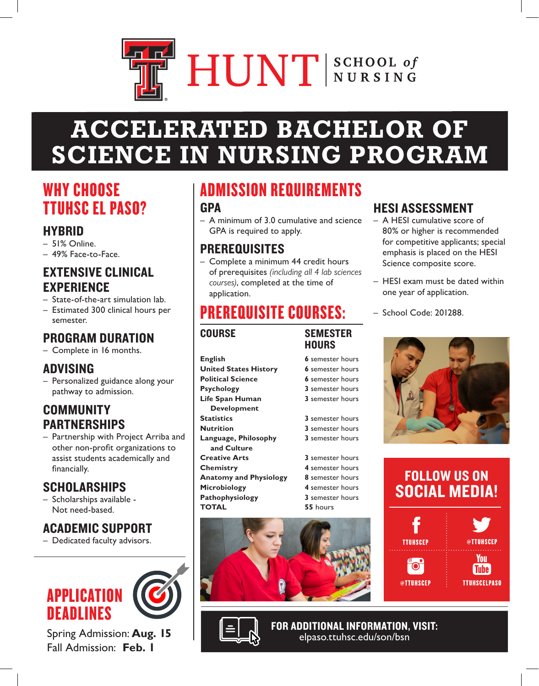# HUNT SCHOOL of

# **ACCELERATED BACHELOR OF SCIENCE IN NURSING PROGRAM**

# WHY CHOOSE TTUHSC EL PASO?

## **HYBRID**

- 51% Online.
- 49% Face-to-Face.

#### EXTENSIVE CLINICAL EXPERIENCE

- State-of-the-art simulation lab.
- Estimated 300 clinical hours per semester.

# PROGRAM DURATION

– Complete in 16 months.

## ADVISING

– Personalized guidance along your pathway to admission.

## COMMUNITY PARTNERSHIPS

– Partnership with Project Arriba and other non-profit organizations to assist students academically and financially.

## SCHOLARSHIPS

– Scholarships available - Not need-based.

## ACADEMIC SUPPORT

– Dedicated faculty advisors.



Spring Admission: **Aug. 15** Fall Admission: **Feb. 1**

# ADMISSION REQUIREMENTS

#### **GPA**

– A minimum of 3.0 cumulative and science GPA is required to apply.

## PREREQUISITES

– Complete a minimum 44 credit hours of prerequisites *(including all 4 lab sciences courses)*, completed at the time of application.

# PREREQUISITE COURSES:

#### COURSESEMESTER

**Psychology** 

**Statistics** 

**English** 

## **HOURS United States History Political Science Life Span Human Development Nutrition 3** semester hours

 **and Culture Creative Arts 3** semester hours **Chemistry 4** semester hours **Anatomy and Physiology 8** semester hours **Microbiology 4** semester hours **Pathophysiology 3** semester hours **TOTAL 55** hours

| $\mathfrak s$ semester hours        |  |
|-------------------------------------|--|
| $\mathsf{\acute{s}}$ semester hours |  |
| $\mathfrak s$ semester hours        |  |
| 3 semester hours                    |  |
| 3 semester hours                    |  |
|                                     |  |
| 3 semester hours                    |  |

**Language, Philosophy 3** semester hours





## HESI ASSESSMENT

- A HESI cumulative score of 80% or higher is recommended for competitive applicants; special emphasis is placed on the HESI Science composite score.
- HESI exam must be dated within one year of application.
- School Code: 201288.







FOR ADDITIONAL INFORMATION, VISIT: elpaso.ttuhsc.edu/son/bsn